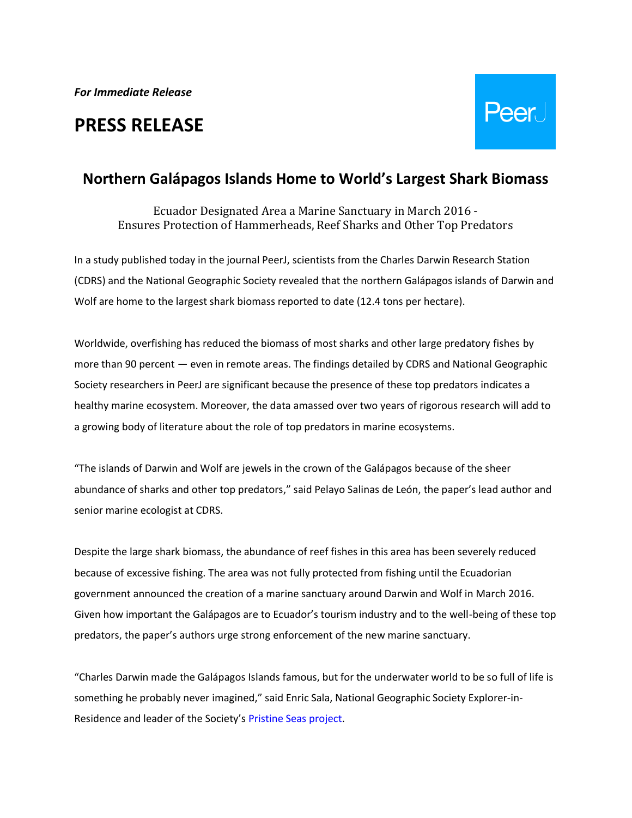# **PRESS RELEASE**



# **Northern Galápagos Islands Home to World's Largest Shark Biomass**

Ecuador Designated Area a Marine Sanctuary in March 2016 - Ensures Protection of Hammerheads, Reef Sharks and Other Top Predators

In a study published today in the journal PeerJ, scientists from the Charles Darwin Research Station (CDRS) and the National Geographic Society revealed that the northern Galápagos islands of Darwin and Wolf are home to the largest shark biomass reported to date (12.4 tons per hectare).

Worldwide, overfishing has reduced the biomass of most sharks and other large predatory fishes by more than 90 percent — even in remote areas. The findings detailed by CDRS and National Geographic Society researchers in PeerJ are significant because the presence of these top predators indicates a healthy marine ecosystem. Moreover, the data amassed over two years of rigorous research will add to a growing body of literature about the role of top predators in marine ecosystems.

"The islands of Darwin and Wolf are jewels in the crown of the Galápagos because of the sheer abundance of sharks and other top predators," said Pelayo Salinas de León, the paper's lead author and senior marine ecologist at CDRS.

Despite the large shark biomass, the abundance of reef fishes in this area has been severely reduced because of excessive fishing. The area was not fully protected from fishing until the Ecuadorian government announced the creation of a marine sanctuary around Darwin and Wolf in March 2016. Given how important the Galápagos are to Ecuador's tourism industry and to the well-being of these top predators, the paper's authors urge strong enforcement of the new marine sanctuary.

"Charles Darwin made the Galápagos Islands famous, but for the underwater world to be so full of life is something he probably never imagined," said Enric Sala, National Geographic Society Explorer-in-Residence and leader of the Society's [Pristine Seas project.](http://ocean.nationalgeographic.com/ocean/explore/pristine-seas/)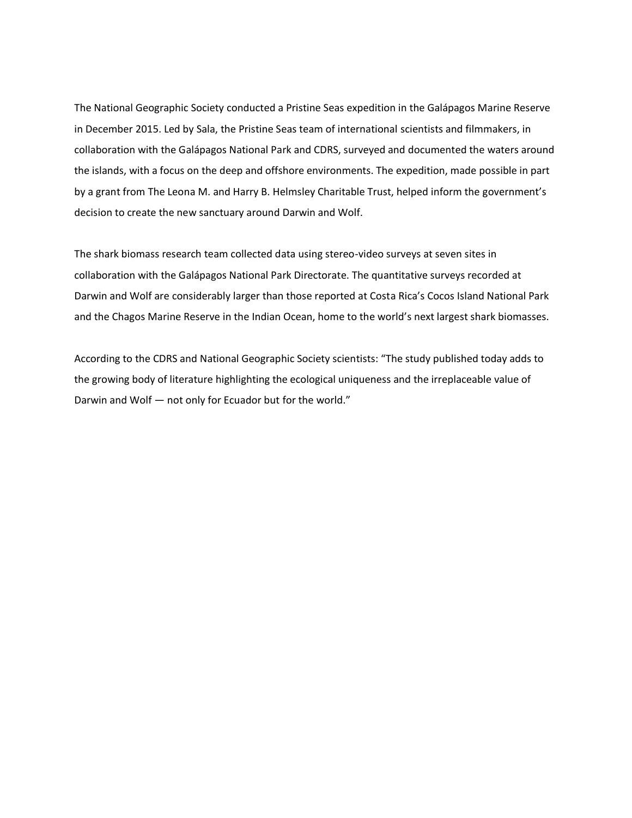The National Geographic Society conducted a Pristine Seas expedition in the Galápagos Marine Reserve in December 2015. Led by Sala, the Pristine Seas team of international scientists and filmmakers, in collaboration with the Galápagos National Park and CDRS, surveyed and documented the waters around the islands, with a focus on the deep and offshore environments. The expedition, made possible in part by a grant from The Leona M. and Harry B. Helmsley Charitable Trust, helped inform the government's decision to create the new sanctuary around Darwin and Wolf.

The shark biomass research team collected data using stereo-video surveys at seven sites in collaboration with the Galápagos National Park Directorate. The quantitative surveys recorded at Darwin and Wolf are considerably larger than those reported at Costa Rica's Cocos Island National Park and the Chagos Marine Reserve in the Indian Ocean, home to the world's next largest shark biomasses.

According to the CDRS and National Geographic Society scientists: "The study published today adds to the growing body of literature highlighting the ecological uniqueness and the irreplaceable value of Darwin and Wolf — not only for Ecuador but for the world."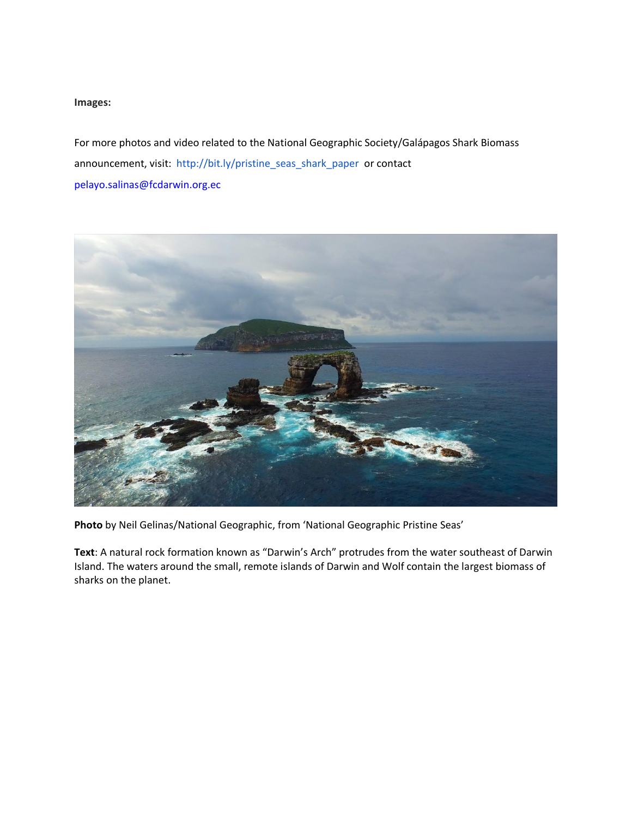# **Images:**

For more photos and video related to the National Geographic Society/Galápagos Shark Biomass announcement, visit: [http://bit.ly/pristine\\_seas\\_shark\\_paper](http://bit.ly/pristine_seas_shark_paper) or contact [pelayo.salinas@fcdarwin.org.ec](mailto:pelayo.salinas@fcdarwin.org.ec)



**Photo** by Neil Gelinas/National Geographic, from 'National Geographic Pristine Seas'

**Text**: A natural rock formation known as "Darwin's Arch" protrudes from the water southeast of Darwin Island. The waters around the small, remote islands of Darwin and Wolf contain the largest biomass of sharks on the planet.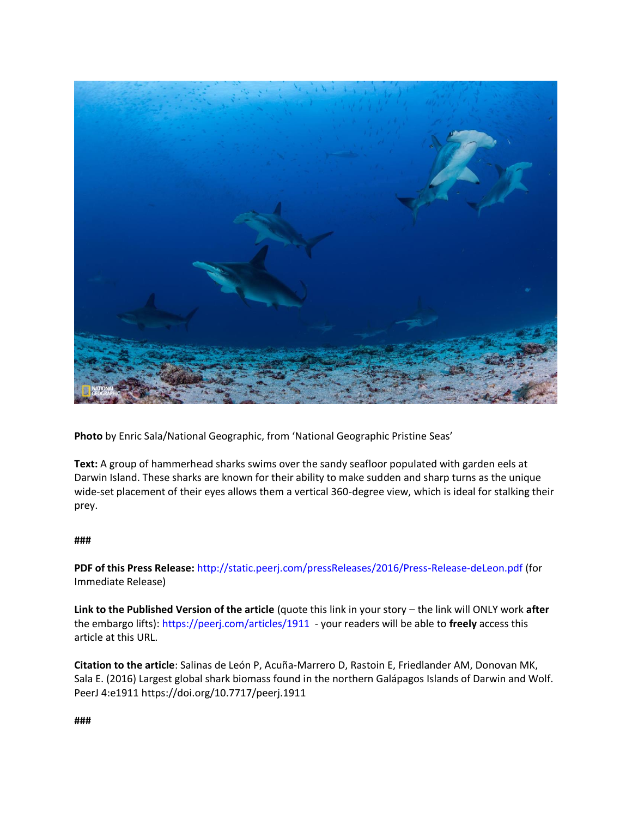

**Photo** by Enric Sala/National Geographic, from 'National Geographic Pristine Seas'

**Text:** A group of hammerhead sharks swims over the sandy seafloor populated with garden eels at Darwin Island. These sharks are known for their ability to make sudden and sharp turns as the unique wide-set placement of their eyes allows them a vertical 360-degree view, which is ideal for stalking their prey.

### **###**

**PDF of this Press Release:** <http://static.peerj.com/pressReleases/2016/Press-Release-deLeon.pdf> (for Immediate Release)

**Link to the Published Version of the article** (quote this link in your story – the link will ONLY work **after** the embargo lifts): <https://peerj.com/articles/1911> - your readers will be able to **freely** access this article at this URL.

**Citation to the article**: Salinas de León P, Acuña-Marrero D, Rastoin E, Friedlander AM, Donovan MK, Sala E. (2016) Largest global shark biomass found in the northern Galápagos Islands of Darwin and Wolf. PeerJ 4:e1911<https://doi.org/10.7717/peerj.1911>

**###**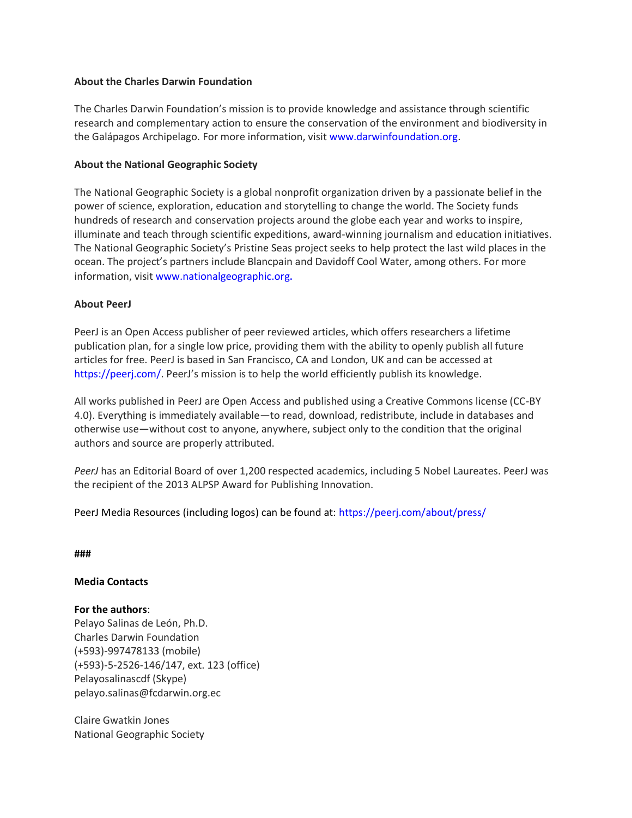# **About the Charles Darwin Foundation**

The Charles Darwin Foundation's mission is to provide knowledge and assistance through scientific research and complementary action to ensure the conservation of the environment and biodiversity in the Galápagos Archipelago. For more information, visit [www.darwinfoundation.org.](http://www.darwinfoundation.org/)

# **About the National Geographic Society**

The National Geographic Society is a global nonprofit organization driven by a passionate belief in the power of science, exploration, education and storytelling to change the world. The Society funds hundreds of research and conservation projects around the globe each year and works to inspire, illuminate and teach through scientific expeditions, award-winning journalism and education initiatives. The National Geographic Society's Pristine Seas project seeks to help protect the last wild places in the ocean. The project's partners include Blancpain and Davidoff Cool Water, among others. For more information, visit [www.nationalgeographic.org](http://www.nationalgeographic.org/).

# **About PeerJ**

PeerJ is an Open Access publisher of peer reviewed articles, which offers researchers a lifetime publication plan, for a single low price, providing them with the ability to openly publish all future articles for free. PeerJ is based in San Francisco, CA and London, UK and can be accessed at <https://peerj.com/>. PeerJ's mission is to help the world efficiently publish its knowledge.

All works published in PeerJ are Open Access and published using a Creative Commons license (CC-BY 4.0). Everything is immediately available—to read, download, redistribute, include in databases and otherwise use—without cost to anyone, anywhere, subject only to the condition that the original authors and source are properly attributed.

*PeerJ* has an Editorial Board of over 1,200 respected academics, including 5 Nobel Laureates. PeerJ was the recipient of the 2013 ALPSP Award for Publishing Innovation.

PeerJ Media Resources (including logos) can be found at:<https://peerj.com/about/press/>

**###**

### **Media Contacts**

### **For the authors**:

Pelayo Salinas de León, Ph.D. Charles Darwin Foundation (+593)-997478133 (mobile) (+593)-5-2526-146/147, ext. 123 (office) Pelayosalinascdf (Skype) pelayo.salinas@fcdarwin.org.ec

Claire Gwatkin Jones National Geographic Society